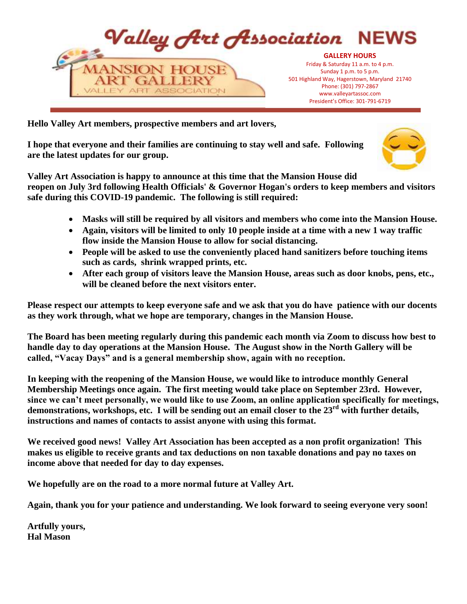

**Hello Valley Art members, prospective members and art lovers,**

**I hope that everyone and their families are continuing to stay well and safe. Following are the latest updates for our group.**



**Valley Art Association is happy to announce at this time that the Mansion House did reopen on July 3rd following Health Officials' & Governor Hogan's orders to keep members and visitors safe during this COVID-19 pandemic. The following is still required:**

- **Masks will still be required by all visitors and members who come into the Mansion House.**
- **Again, visitors will be limited to only 10 people inside at a time with a new 1 way traffic flow inside the Mansion House to allow for social distancing.**
- **People will be asked to use the conveniently placed hand sanitizers before touching items such as cards, shrink wrapped prints, etc.**
- **After each group of visitors leave the Mansion House, areas such as door knobs, pens, etc., will be cleaned before the next visitors enter.**

**Please respect our attempts to keep everyone safe and we ask that you do have patience with our docents as they work through, what we hope are temporary, changes in the Mansion House.**

**The Board has been meeting regularly during this pandemic each month via Zoom to discuss how best to handle day to day operations at the Mansion House. The August show in the North Gallery will be called, "Vacay Days" and is a general membership show, again with no reception.** 

**In keeping with the reopening of the Mansion House, we would like to introduce monthly General Membership Meetings once again. The first meeting would take place on September 23rd. However, since we can't meet personally, we would like to use Zoom, an online application specifically for meetings, demonstrations, workshops, etc. I will be sending out an email closer to the 23rd with further details, instructions and names of contacts to assist anyone with using this format.**

**We received good news! Valley Art Association has been accepted as a non profit organization! This makes us eligible to receive grants and tax deductions on non taxable donations and pay no taxes on income above that needed for day to day expenses.**

**We hopefully are on the road to a more normal future at Valley Art.**

**Again, thank you for your patience and understanding. We look forward to seeing everyone very soon!**

**Artfully yours, Hal Mason**